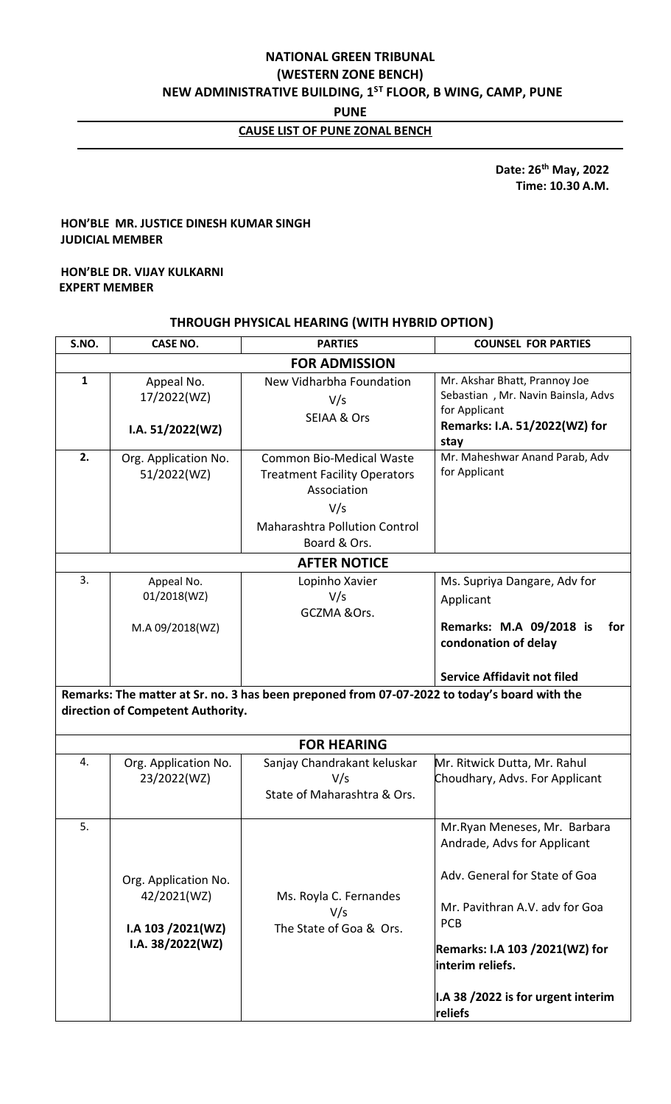# **NATIONAL GREEN TRIBUNAL (WESTERN ZONE BENCH) NEW ADMINISTRATIVE BUILDING, 1ST FLOOR, B WING, CAMP, PUNE**

**PUNE**

# **CAUSE LIST OF PUNE ZONAL BENCH**

 **Date: 26th May, 2022 Time: 10.30 A.M.**

# **HON'BLE MR. JUSTICE DINESH KUMAR SINGH JUDICIAL MEMBER**

## **HON'BLE DR. VIJAY KULKARNI EXPERT MEMBER**

## **THROUGH PHYSICAL HEARING (WITH HYBRID OPTION)**

| S.NO.                | <b>CASE NO.</b>                               | <b>PARTIES</b>                                                                                                                                                                                   | <b>COUNSEL FOR PARTIES</b>                                                                                                    |  |  |  |  |
|----------------------|-----------------------------------------------|--------------------------------------------------------------------------------------------------------------------------------------------------------------------------------------------------|-------------------------------------------------------------------------------------------------------------------------------|--|--|--|--|
| <b>FOR ADMISSION</b> |                                               |                                                                                                                                                                                                  |                                                                                                                               |  |  |  |  |
| $\mathbf{1}$         | Appeal No.<br>17/2022(WZ)<br>I.A. 51/2022(WZ) | New Vidharbha Foundation<br>V/s<br><b>SEIAA &amp; Ors</b>                                                                                                                                        | Mr. Akshar Bhatt, Prannoy Joe<br>Sebastian, Mr. Navin Bainsla, Advs<br>for Applicant<br>Remarks: I.A. 51/2022(WZ) for<br>stay |  |  |  |  |
| 2.                   | Org. Application No.<br>51/2022(WZ)           | Mr. Maheshwar Anand Parab, Adv<br><b>Common Bio-Medical Waste</b><br>for Applicant<br><b>Treatment Facility Operators</b><br>Association<br>V/s<br>Maharashtra Pollution Control<br>Board & Ors. |                                                                                                                               |  |  |  |  |
|                      |                                               | <b>AFTER NOTICE</b>                                                                                                                                                                              |                                                                                                                               |  |  |  |  |
| 3.                   | Appeal No.<br>01/2018(WZ)<br>M.A 09/2018(WZ)  | Lopinho Xavier<br>V/s<br>GCZMA &Ors.                                                                                                                                                             | Ms. Supriya Dangare, Adv for<br>Applicant<br>Remarks: M.A 09/2018 is<br>for<br>condonation of delay                           |  |  |  |  |
|                      |                                               |                                                                                                                                                                                                  | <b>Service Affidavit not filed</b>                                                                                            |  |  |  |  |

**Remarks: The matter at Sr. no. 3 has been preponed from 07-07-2022 to today's board with the direction of Competent Authority.**

|    |                                                                                 | <b>FOR HEARING</b>                                                |                                                                                                                                                                                                                                                              |
|----|---------------------------------------------------------------------------------|-------------------------------------------------------------------|--------------------------------------------------------------------------------------------------------------------------------------------------------------------------------------------------------------------------------------------------------------|
| 4. | Org. Application No.<br>23/2022(WZ)                                             | Sanjay Chandrakant keluskar<br>V/s<br>State of Maharashtra & Ors. | Mr. Ritwick Dutta, Mr. Rahul<br>Choudhary, Advs. For Applicant                                                                                                                                                                                               |
| 5. | Org. Application No.<br>42/2021(WZ)<br>$IA$ 103 $/2021(WZ)$<br>I.A. 38/2022(WZ) | Ms. Royla C. Fernandes<br>V/s<br>The State of Goa & Ors.          | Mr. Ryan Meneses, Mr. Barbara<br>Andrade, Advs for Applicant<br>Adv. General for State of Goa<br>Mr. Pavithran A.V. adv for Goa<br><b>PCB</b><br><b>Remarks: I.A 103 /2021(WZ) for</b><br>linterim reliefs.<br>I.A 38 /2022 is for urgent interim<br>reliefs |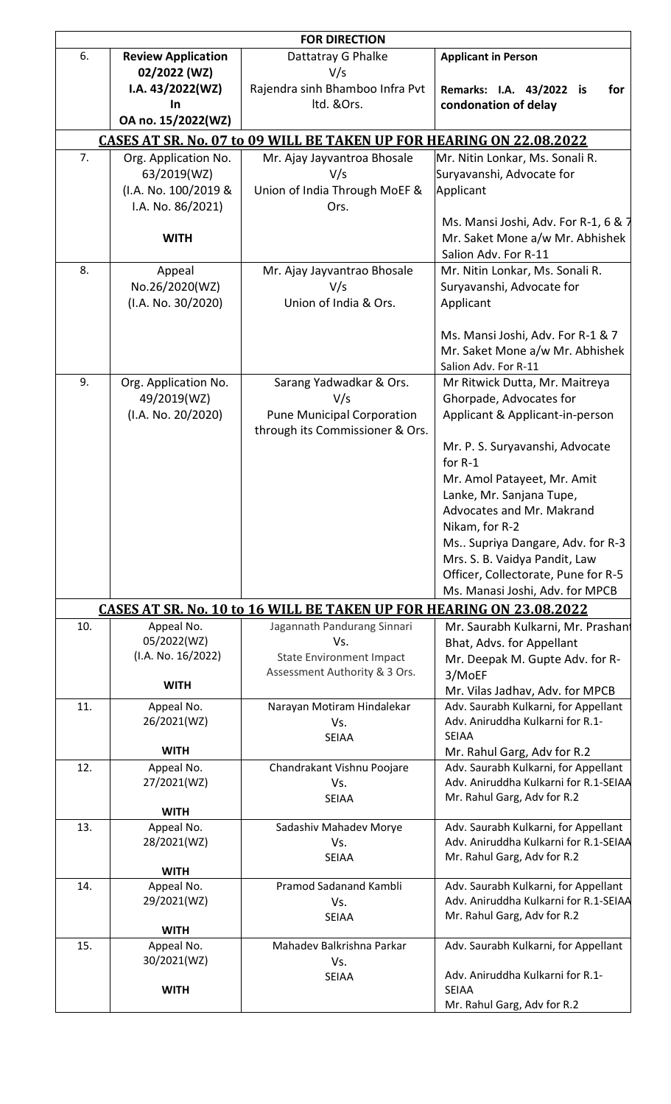| <b>FOR DIRECTION</b>                            |                                      |                                                                                                            |                                                                                                 |  |  |  |  |
|-------------------------------------------------|--------------------------------------|------------------------------------------------------------------------------------------------------------|-------------------------------------------------------------------------------------------------|--|--|--|--|
| 6.<br><b>Review Application</b><br>02/2022 (WZ) |                                      | Dattatray G Phalke<br>V/s                                                                                  | <b>Applicant in Person</b>                                                                      |  |  |  |  |
| I.A. $43/2022(WZ)$<br>In                        |                                      | Rajendra sinh Bhamboo Infra Pvt<br>Itd. &Ors.                                                              | Remarks: I.A. 43/2022 is<br>for<br>condonation of delay                                         |  |  |  |  |
|                                                 | OA no. 15/2022(WZ)                   |                                                                                                            |                                                                                                 |  |  |  |  |
|                                                 |                                      | <b>CASES AT SR. No. 07 to 09 WILL BE TAKEN UP FOR HEARING ON 22.08.2022</b>                                |                                                                                                 |  |  |  |  |
| 7.                                              | Org. Application No.                 | Mr. Ajay Jayvantroa Bhosale                                                                                | Mr. Nitin Lonkar, Ms. Sonali R.                                                                 |  |  |  |  |
|                                                 | 63/2019(WZ)<br>(I.A. No. 100/2019 &  | V/s<br>Union of India Through MoEF &                                                                       | Suryavanshi, Advocate for<br>Applicant                                                          |  |  |  |  |
|                                                 | I.A. No. 86/2021)                    | Ors.                                                                                                       |                                                                                                 |  |  |  |  |
|                                                 | <b>WITH</b>                          |                                                                                                            | Ms. Mansi Joshi, Adv. For R-1, 6 & 7<br>Mr. Saket Mone a/w Mr. Abhishek<br>Salion Adv. For R-11 |  |  |  |  |
| 8.                                              | Appeal                               | Mr. Ajay Jayvantrao Bhosale                                                                                | Mr. Nitin Lonkar, Ms. Sonali R.                                                                 |  |  |  |  |
|                                                 | No.26/2020(WZ)<br>(I.A. No. 30/2020) | V/s<br>Union of India & Ors.                                                                               | Suryavanshi, Advocate for<br>Applicant                                                          |  |  |  |  |
|                                                 |                                      |                                                                                                            | Ms. Mansi Joshi, Adv. For R-1 & 7<br>Mr. Saket Mone a/w Mr. Abhishek<br>Salion Adv. For R-11    |  |  |  |  |
| 9.                                              | Org. Application No.<br>49/2019(WZ)  | Sarang Yadwadkar & Ors.<br>V/s                                                                             | Mr Ritwick Dutta, Mr. Maitreya<br>Ghorpade, Advocates for                                       |  |  |  |  |
|                                                 | (I.A. No. 20/2020)                   | <b>Pune Municipal Corporation</b><br>through its Commissioner & Ors.                                       | Applicant & Applicant-in-person                                                                 |  |  |  |  |
|                                                 |                                      |                                                                                                            | Mr. P. S. Suryavanshi, Advocate<br>for $R-1$                                                    |  |  |  |  |
|                                                 |                                      |                                                                                                            | Mr. Amol Patayeet, Mr. Amit                                                                     |  |  |  |  |
|                                                 |                                      |                                                                                                            | Lanke, Mr. Sanjana Tupe,                                                                        |  |  |  |  |
|                                                 |                                      |                                                                                                            | Advocates and Mr. Makrand<br>Nikam, for R-2                                                     |  |  |  |  |
|                                                 |                                      |                                                                                                            | Ms Supriya Dangare, Adv. for R-3                                                                |  |  |  |  |
|                                                 |                                      |                                                                                                            | Mrs. S. B. Vaidya Pandit, Law<br>Officer, Collectorate, Pune for R-5                            |  |  |  |  |
|                                                 |                                      |                                                                                                            | Ms. Manasi Joshi, Adv. for MPCB                                                                 |  |  |  |  |
| 10.                                             | Appeal No.                           | <b>CASES AT SR. No. 10 to 16 WILL BE TAKEN UP FOR HEARING ON 23.08.2022</b><br>Jagannath Pandurang Sinnari | Mr. Saurabh Kulkarni, Mr. Prashant                                                              |  |  |  |  |
|                                                 | 05/2022(WZ)                          | Vs.                                                                                                        | Bhat, Advs. for Appellant                                                                       |  |  |  |  |
|                                                 | (I.A. No. 16/2022)                   | <b>State Environment Impact</b><br>Assessment Authority & 3 Ors.                                           | Mr. Deepak M. Gupte Adv. for R-<br>3/MoEF                                                       |  |  |  |  |
|                                                 | <b>WITH</b>                          |                                                                                                            | Mr. Vilas Jadhav, Adv. for MPCB                                                                 |  |  |  |  |
| 11.                                             | Appeal No.<br>26/2021(WZ)            | Narayan Motiram Hindalekar<br>Vs.<br><b>SEIAA</b>                                                          | Adv. Saurabh Kulkarni, for Appellant<br>Adv. Aniruddha Kulkarni for R.1-<br><b>SEIAA</b>        |  |  |  |  |
|                                                 | <b>WITH</b>                          |                                                                                                            | Mr. Rahul Garg, Adv for R.2                                                                     |  |  |  |  |
| 12.                                             | Appeal No.                           | Chandrakant Vishnu Poojare                                                                                 | Adv. Saurabh Kulkarni, for Appellant                                                            |  |  |  |  |
|                                                 | 27/2021(WZ)<br><b>WITH</b>           | Vs.<br><b>SEIAA</b>                                                                                        | Adv. Aniruddha Kulkarni for R.1-SEIAA<br>Mr. Rahul Garg, Adv for R.2                            |  |  |  |  |
| 13.                                             | Appeal No.                           | Sadashiv Mahadev Morye                                                                                     | Adv. Saurabh Kulkarni, for Appellant                                                            |  |  |  |  |
|                                                 | 28/2021(WZ)                          | Vs.<br><b>SEIAA</b>                                                                                        | Adv. Aniruddha Kulkarni for R.1-SEIAA<br>Mr. Rahul Garg, Adv for R.2                            |  |  |  |  |
|                                                 | <b>WITH</b>                          |                                                                                                            |                                                                                                 |  |  |  |  |
| 14.                                             | Appeal No.<br>29/2021(WZ)            | Pramod Sadanand Kambli<br>Vs.                                                                              | Adv. Saurabh Kulkarni, for Appellant<br>Adv. Aniruddha Kulkarni for R.1-SEIAA                   |  |  |  |  |
|                                                 | <b>WITH</b>                          | <b>SEIAA</b>                                                                                               | Mr. Rahul Garg, Adv for R.2                                                                     |  |  |  |  |
| 15.                                             | Appeal No.<br>30/2021(WZ)            | Mahadev Balkrishna Parkar<br>Vs.                                                                           | Adv. Saurabh Kulkarni, for Appellant                                                            |  |  |  |  |
|                                                 | <b>WITH</b>                          | <b>SEIAA</b>                                                                                               | Adv. Aniruddha Kulkarni for R.1-<br><b>SEIAA</b>                                                |  |  |  |  |
|                                                 |                                      |                                                                                                            | Mr. Rahul Garg, Adv for R.2                                                                     |  |  |  |  |